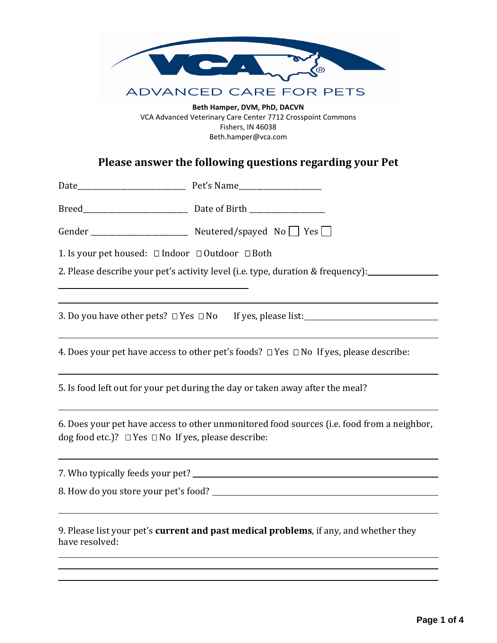

VCA Advanced Veterinary Care Center 7712 Crosspoint Commons Fishers, IN 46038 Beth.hamper@vca.com

# **Please answer the following questions regarding your Pet**

|                                                                                  | Gender _______________________ Neutered/spayed No T Yes                                          |  |  |  |  |  |
|----------------------------------------------------------------------------------|--------------------------------------------------------------------------------------------------|--|--|--|--|--|
| 1. Is your pet housed: □ Indoor □ Outdoor □ Both                                 |                                                                                                  |  |  |  |  |  |
|                                                                                  | 2. Please describe your pet's activity level (i.e. type, duration & frequency):                  |  |  |  |  |  |
|                                                                                  |                                                                                                  |  |  |  |  |  |
| 3. Do you have other pets? □ Yes □ No If yes, please list: _____________________ |                                                                                                  |  |  |  |  |  |
|                                                                                  | 4. Does your pet have access to other pet's foods? $\Box$ Yes $\Box$ No If yes, please describe: |  |  |  |  |  |
|                                                                                  | 5. Is food left out for your pet during the day or taken away after the meal?                    |  |  |  |  |  |
| dog food etc.)? $\Box$ Yes $\Box$ No If yes, please describe:                    | 6. Does your pet have access to other unmonitored food sources (i.e. food from a neighbor,       |  |  |  |  |  |
|                                                                                  |                                                                                                  |  |  |  |  |  |
|                                                                                  |                                                                                                  |  |  |  |  |  |
| have resolved:                                                                   | 9. Please list your pet's current and past medical problems, if any, and whether they            |  |  |  |  |  |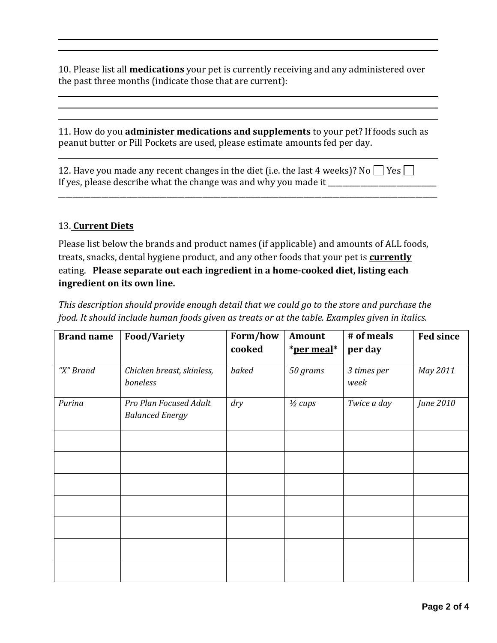10. Please list all **medications** your pet is currently receiving and any administered over the past three months (indicate those that are current):

11. How do you **administer medications and supplements** to your pet? If foods such as peanut butter or Pill Pockets are used, please estimate amounts fed per day.

\_\_\_\_\_\_\_\_\_\_\_\_\_\_\_\_\_\_\_\_\_\_\_\_\_\_\_\_\_\_\_\_\_\_\_\_\_\_\_\_\_\_\_\_\_\_\_\_\_\_\_\_\_\_\_\_\_\_\_\_\_\_\_\_\_\_\_\_\_\_\_\_\_\_\_\_\_\_\_\_\_\_\_\_\_\_\_\_\_\_\_\_\_\_\_\_\_\_\_\_\_\_\_\_\_

12. Have you made any recent changes in the diet (i.e. the last 4 weeks)? No  $\Box$  Yes  $\Box$ If yes, please describe what the change was and why you made it \_\_\_\_\_\_\_\_\_\_\_\_\_\_\_\_

## 13. **Current Diets**

Please list below the brands and product names (if applicable) and amounts of ALL foods, treats, snacks, dental hygiene product, and any other foods that your pet is **currently** eating. **Please separate out each ingredient in a home-cooked diet, listing each ingredient on its own line.**

**Brand name Food/Variety Form/how cooked Amount \*per meal\* # of meals per day Fed since** *"X" Brand Chicken breast, skinless, boneless baked 50 grams 3 times per week May 2011 Purina Pro Plan Focused Adult Balanced Energy dry ½ cups Twice a day June 2010*

*This description should provide enough detail that we could go to the store and purchase the food. It should include human foods given as treats or at the table. Examples given in italics.*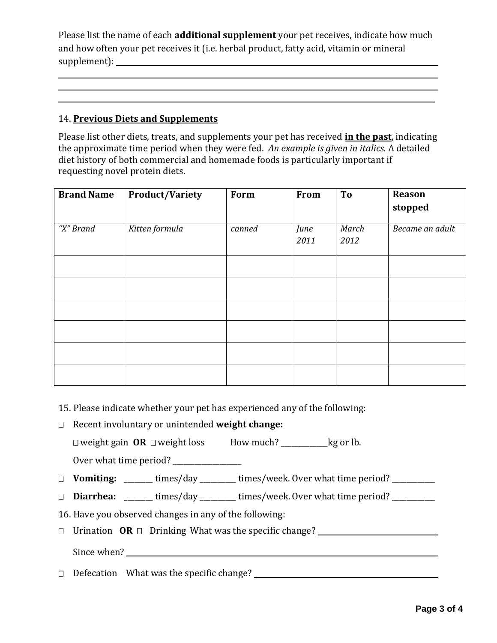Please list the name of each **additional supplement** your pet receives, indicate how much and how often your pet receives it (i.e. herbal product, fatty acid, vitamin or mineral supplement):

## 14. **Previous Diets and Supplements**

Please list other diets, treats, and supplements your pet has received **in the past**, indicating the approximate time period when they were fed. *An example is given in italics.* A detailed diet history of both commercial and homemade foods is particularly important if requesting novel protein diets.

**\_\_\_\_\_\_\_\_\_\_\_\_\_\_\_\_\_\_\_\_\_\_\_\_\_\_\_\_\_\_\_\_\_\_\_\_\_\_\_\_\_\_\_\_\_\_\_\_\_\_\_\_\_\_\_\_\_\_\_\_\_\_\_\_\_\_\_\_\_\_\_\_\_\_\_\_\_\_\_\_\_\_\_\_\_\_\_\_\_\_\_\_\_\_\_\_\_\_\_\_\_\_\_\_\_**

| <b>Brand Name</b> | <b>Product/Variety</b> | Form   | From         | To            | Reason          |
|-------------------|------------------------|--------|--------------|---------------|-----------------|
|                   |                        |        |              |               | stopped         |
| "X" Brand         | Kitten formula         | canned | June<br>2011 | March<br>2012 | Became an adult |
|                   |                        |        |              |               |                 |
|                   |                        |        |              |               |                 |
|                   |                        |        |              |               |                 |
|                   |                        |        |              |               |                 |
|                   |                        |        |              |               |                 |
|                   |                        |        |              |               |                 |

- 15. Please indicate whether your pet has experienced any of the following:
- Recent involuntary or unintended **weight change:**

□ weight gain OR □ weight loss How much? \_\_\_\_\_\_\_\_\_\_\_\_kg or lb.

Over what time period? \_\_\_\_\_\_\_\_\_\_\_\_\_\_\_\_\_\_\_

□ Vomiting: \_\_\_\_\_\_\_ times/day \_\_\_\_\_\_\_\_ times/week. Over what time period? \_\_\_\_\_\_\_\_\_\_

**Diarrhea:** \_\_\_\_\_\_\_\_ times/day \_\_\_\_\_\_\_\_\_\_ times/week. Over what time period? \_\_\_\_\_\_\_\_\_\_\_\_

16. Have you observed changes in any of the following:

Urination **OR** Drinking What was the specific change?

Since when? <u>Since</u> when  $\frac{1}{2}$  and  $\frac{1}{2}$  and  $\frac{1}{2}$  and  $\frac{1}{2}$  and  $\frac{1}{2}$  and  $\frac{1}{2}$  and  $\frac{1}{2}$  and  $\frac{1}{2}$  and  $\frac{1}{2}$  and  $\frac{1}{2}$  and  $\frac{1}{2}$  and  $\frac{1}{2}$  and  $\frac{1}{2}$  and  $\frac{1}{2}$  and

Defecation What was the specific change?